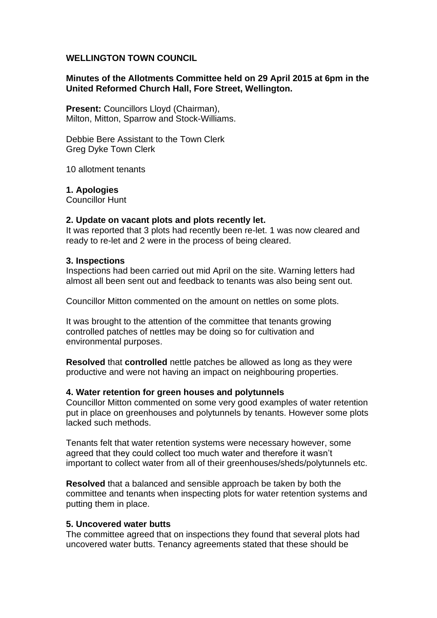# **WELLINGTON TOWN COUNCIL**

# **Minutes of the Allotments Committee held on 29 April 2015 at 6pm in the United Reformed Church Hall, Fore Street, Wellington.**

**Present:** Councillors Lloyd (Chairman), Milton, Mitton, Sparrow and Stock-Williams.

Debbie Bere Assistant to the Town Clerk Greg Dyke Town Clerk

10 allotment tenants

**1. Apologies**

Councillor Hunt

### **2. Update on vacant plots and plots recently let.**

It was reported that 3 plots had recently been re-let. 1 was now cleared and ready to re-let and 2 were in the process of being cleared.

### **3. Inspections**

Inspections had been carried out mid April on the site. Warning letters had almost all been sent out and feedback to tenants was also being sent out.

Councillor Mitton commented on the amount on nettles on some plots.

It was brought to the attention of the committee that tenants growing controlled patches of nettles may be doing so for cultivation and environmental purposes.

**Resolved** that **controlled** nettle patches be allowed as long as they were productive and were not having an impact on neighbouring properties.

### **4. Water retention for green houses and polytunnels**

Councillor Mitton commented on some very good examples of water retention put in place on greenhouses and polytunnels by tenants. However some plots lacked such methods.

Tenants felt that water retention systems were necessary however, some agreed that they could collect too much water and therefore it wasn't important to collect water from all of their greenhouses/sheds/polytunnels etc.

**Resolved** that a balanced and sensible approach be taken by both the committee and tenants when inspecting plots for water retention systems and putting them in place.

#### **5. Uncovered water butts**

The committee agreed that on inspections they found that several plots had uncovered water butts. Tenancy agreements stated that these should be